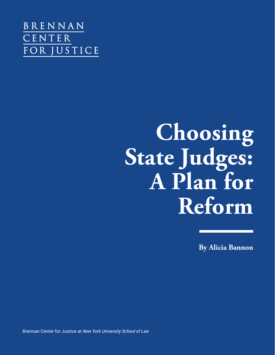BRENNAN CENTER FOR JUSTICE

# **Choosing State Judges: A Plan for Reform**

**By Alicia Bannon**

Brennan Center for Justice at *New York University School of Law*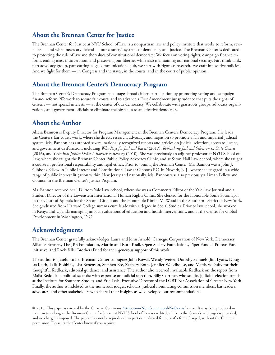## **About the Brennan Center for Justice**

The Brennan Center for Justice at NYU School of Law is a nonpartisan law and policy institute that works to reform, revitalize — and when necessary defend — our country's systems of democracy and justice. The Brennan Center is dedicated to protecting the rule of law and the values of constitutional democracy. We focus on voting rights, campaign finance reform, ending mass incarceration, and preserving our liberties while also maintaining our national security. Part think tank, part advocacy group, part cutting-edge communications hub, we start with rigorous research. We craft innovative policies. And we fight for them — in Congress and the states, in the courts, and in the court of public opinion.

## **About the Brennan Center's Democracy Program**

The Brennan Center's Democracy Program encourages broad citizen participation by promoting voting and campaign finance reform. We work to secure fair courts and to advance a First Amendment jurisprudence that puts the rights of citizens — not special interests — at the center of our democracy. We collaborate with grassroots groups, advocacy organizations, and government officials to eliminate the obstacles to an effective democracy.

## **About the Author**

**Alicia Bannon** is Deputy Director for Program Management in the Brennan Center's Democracy Program. She leads the Center's fair courts work, where she directs research, advocacy, and litigation to promote a fair and impartial judicial system. Ms. Bannon has authored several nationally recognized reports and articles on judicial selection, access to justice, and government dysfunction, including *Who Pays for Judicial Races?* (2017), *Rethinking Judicial Selection in State Courts*  (2016), and *Criminal Justice Debt: A Barrier to Reentry* (2010). She was previously an adjunct professor at NYU School of Law, where she taught the Brennan Center Public Policy Advocacy Clinic, and at Seton Hall Law School, where she taught a course in professional responsibility and legal ethics. Prior to joining the Brennan Center, Ms. Bannon was a John J. Gibbons Fellow in Public Interest and Constitutional Law at Gibbons P.C. in Newark, N.J., where she engaged in a wide range of public interest litigation within New Jersey and nationally. Ms. Bannon was also previously a Liman Fellow and Counsel in the Brennan Center's Justice Program.

Ms. Bannon received her J.D. from Yale Law School, where she was a Comments Editor of the Yale Law Journal and a Student Director of the Lowenstein International Human Rights Clinic. She clerked for the Honorable Sonia Sotomayor in the Court of Appeals for the Second Circuit and the Honorable Kimba M. Wood in the Southern District of New York. She graduated from Harvard College summa cum laude with a degree in Social Studies. Prior to law school, she worked in Kenya and Uganda managing impact evaluations of education and health interventions, and at the Center for Global Development in Washington, D.C.

## **Acknowledgments**

The Brennan Center gratefully acknowledges Laura and John Arnold, Carnegie Corporation of New York, Democracy Alliance Partners, The JPB Foundation, Martin and Ruth Krall, Open Society Foundations, Piper Fund, a Proteus Fund initiative, and Rockefeller Brothers Fund for their generous support of this work.

The author is grateful to her Brennan Center colleagues John Kowal, Wendy Weiser, Dorothy Samuels, Jim Lyons, Douglas Keith, Laila Robbins, Lisa Benenson, Stephen Fee, Zachary Roth, Jennifer Woodhouse, and Matthew Duffy for their thoughtful feedback, editorial guidance, and assistance. The author also received invaluable feedback on the report from Malia Reddick, a political scientist with expertise on judicial selection, Billy Corriher, who studies judicial selection trends at the Institute for Southern Studies, and Eric Lesh, Executive Director of the LGBT Bar Association of Greater New York. Finally, the author is indebted to the numerous judges, scholars, judicial nominating commission members, bar leaders, advocates, and other stakeholders who shared their insights as we developed our recommendations.

© 2018. This paper is covered by the Creative Commons Attribution-NonCommercial-NoDerivs license. It may be reproduced in its entirety as long as the Brennan Center for Justice at NYU School of Law is credited, a link to the Center's web pages is provided, and no charge is imposed. The paper may not be reproduced in part or in altered form, or if a fee is charged, without the Center's permission. Please let the Center know if you reprint.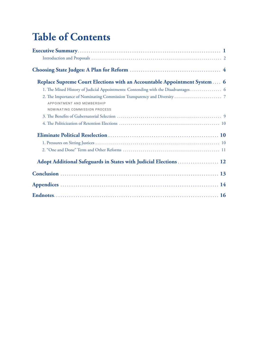# **Table of Contents**

| Replace Supreme Court Elections with an Accountable Appointment System  6          |
|------------------------------------------------------------------------------------|
| 1. The Mixed History of Judicial Appointments: Contending with the Disadvantages 6 |
| APPOINTMENT AND MEMBERSHIP<br>NOMINATING COMMISSION PROCESS                        |
|                                                                                    |
|                                                                                    |
|                                                                                    |
|                                                                                    |
|                                                                                    |
| Adopt Additional Safeguards in States with Judicial Elections  12                  |
|                                                                                    |
|                                                                                    |
|                                                                                    |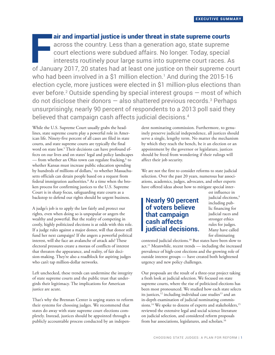**F** of January 2017, 20 states had at least one justice on their supreme court air and impartial justice is under threat in state supreme courts across the country. Less than a generation ago, state supreme court elections were subdued affairs. No longer. Today, special interests routinely pour large sums into supreme court races. As who had been involved in a \$1 million election.1 And during the 2015-16 election cycle, more justices were elected in \$1 million-plus elections than ever before. $2$  Outside spending by special interest groups  $-$  most of which do not disclose their donors  $-$  also shattered previous records. $3$  Perhaps unsurprisingly, nearly 90 percent of respondents to a 2013 poll said they believed that campaign cash affects judicial decisions.<sup>4</sup>

While the U.S. Supreme Court usually grabs the headlines, state supreme courts play a powerful role in American life. Ninety-five percent of all cases are filed in state courts, and state supreme courts are typically the final word on state law.5 Their decisions can have profound effects on our lives and on states' legal and policy landscapes — from whether an Ohio town can regulate fracking,<sup>6</sup> to whether Kansas must increase public education spending by hundreds of millions of dollars,<sup>7</sup> to whether Massachusetts officials can detain people based on a request from federal immigration authorities.<sup>8</sup> At a time when the broken process for confirming justices to the U.S. Supreme Court is in sharp focus, safeguarding state courts as a backstop to defend our rights should be urgent business.

A judge's job is to apply the law fairly and protect our rights, even when doing so is unpopular or angers the wealthy and powerful. But the reality of competing in costly, highly politicized elections is at odds with this role. If a judge rules against a major donor, will that donor still fund her next campaign? If she angers a powerful political interest, will she face an avalanche of attack ads? These electoral pressures create a morass of conflicts of interest that threaten the appearance, and reality, of fair decision-making. They're also a roadblock for aspiring judges who can't tap million-dollar networks.

Left unchecked, these trends can undermine the integrity of state supreme courts and the public trust that undergirds their legitimacy. The implications for American justice are acute.

That's why the Brennan Center is urging states to reform their systems for choosing judges. We recommend that states do away with state supreme court elections completely. Instead, justices should be appointed through a publicly accountable process conducted by an independent nominating commission. Furthermore, to genuinely preserve judicial independence, all justices should serve a single, lengthy term. No matter the mechanism by which they reach the bench, be it an election or an appointment by the governor or legislature, justices should be freed from wondering if their rulings will affect their job security.

We are not the first to consider reforms to state judicial selection. Over the past 20 years, numerous bar associations, academics, judges, advocates, and other experts have offered ideas about how to mitigate special inter-

## **Nearly 90 percent of voters believe that campaign cash affects judicial decisions.**

est influence in judicial elections,<sup>9</sup> including public financing for judicial races and stronger ethics rules for judges. Many have called for eliminating

contested judicial elections.10 But states have been slow to act.<sup>11</sup> Meanwhile, recent trends — including the increased prevalence of high-cost elections and the growing role of outside interest groups — have created both heightened urgency and new policy challenges.

Our proposals are the result of a three-year project taking a fresh look at judicial selection. We focused on state supreme courts, where the rise of politicized elections has been most pronounced. We studied how each state selects its justices,<sup>12</sup> including individual case studies<sup>13</sup> and an in-depth examination of judicial nominating commissions.<sup>14</sup> We spoke to dozens of experts and stakeholders,<sup>15</sup> reviewed the extensive legal and social science literature on judicial selection, and considered reform proposals from bar associations, legislatures, and scholars.<sup>16</sup>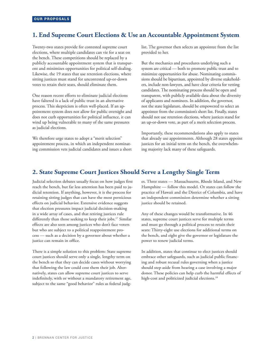## **1. End Supreme Court Elections & Use an Accountable Appointment System**

Twenty-two states provide for contested supreme court elections, where multiple candidates can vie for a seat on the bench. These competitions should be replaced by a publicly accountable appointment system that is transparent and minimizes opportunities for political self-dealing. Likewise, the 19 states that use retention elections, where sitting justices must stand for uncontested up-or-down votes to retain their seats, should eliminate them.

One reason recent efforts to eliminate judicial elections have faltered is a lack of public trust in an alternative process. This skepticism is often well-placed. If an appointment system does not allow for public oversight and does not curb opportunities for political influence, it can wind up being vulnerable to many of the same pressures as judicial elections.

We therefore urge states to adopt a "merit selection" appointment process, in which an independent nominating commission vets judicial candidates and issues a short list. The governor then selects an appointee from the list provided to her.

But the mechanics and procedures underlying such a system are critical — both to promote public trust and to minimize opportunities for abuse. Nominating commissions should be bipartisan, appointed by diverse stakeholders, include non-lawyers, and have clear criteria for vetting candidates. The nominating process should be open and transparent, with publicly available data about the diversity of applicants and nominees. In addition, the governor, not the state legislature, should be empowered to select an appointee from the commission's short list. Finally, states should not use retention elections, where justices stand for an up-or-down vote, as part of a merit selection process.

Importantly, these recommendations also apply to states that already use appointments. Although 28 states appoint justices for an initial term on the bench, the overwhelming majority lack many of these safeguards.

## **2. State Supreme Court Justices Should Serve a Lengthy Single Term**

Judicial selection debates usually focus on how judges first reach the bench, but far less attention has been paid to judicial retention. If anything, however, it is the process for retaining sitting judges that can have the most pernicious effects on judicial behavior. Extensive evidence suggests that election pressures impact judicial decision-making in a wide array of cases, and that retiring justices rule differently than those seeking to keep their jobs.<sup>17</sup> Similar effects are also seen among justices who don't face voters but who are subject to a political reappointment process — such as a decision by a governor about whether a justice can remain in office.

There is a simple solution to this problem: State supreme court justices should serve only a single, lengthy term on the bench so that they can decide cases without worrying that following the law could cost them their job. Alternatively, states can allow supreme court justices to serve indefinitely, with or without a mandatory retirement age, subject to the same "good behavior" rules as federal judges. Three states — Massachusetts, Rhode Island, and New Hampshire — follow this model. Or states can follow the practice of Hawaii and the District of Columbia, and have an independent commission determine whether a sitting justice should be retained.

Any of these changes would be transformative. In 46 states, supreme court justices serve for multiple terms and must go through a political process to retain their seats: Thirty-eight use elections for additional terms on the bench, and eight give the governor or legislature the power to renew judicial terms.

In addition, states that continue to elect justices should embrace other safeguards, such as judicial public financing and robust recusal rules governing when a justice should step aside from hearing a case involving a major donor. These policies can help curb the harmful effects of high-cost and politicized judicial elections.<sup>18</sup>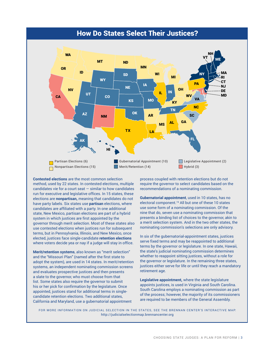



**Contested elections** are the most common selection method, used by 22 states. In contested elections, multiple candidates vie for a court seat — similar to how candidates run for executive and legislative offices. In 15 states, these elections are **nonpartisan,** meaning that candidates do not have party labels. Six states use **partisan** elections, where candidates are affiliated with a party. In one additional state, New Mexico, partisan elections are part of a hybrid system in which justices are first appointed by the governor through merit selection. Most of these states also use contested elections when justices run for subsequent terms, but in Pennsylvania, Illinois, and New Mexico, once elected, justices face single-candidate **retention elections** where voters decide yea or nay if a judge will stay in office.

**Merit/retention systems**, also known as "merit selection" and the "Missouri Plan" (named after the first state to adopt the system), are used in 14 states. In merit/retention systems, an independent nominating commission screens and evaluates prospective justices and then presents a slate to the governor, who must choose from that list. Some states also require the governor to submit his or her pick for confirmation by the legislature. Once appointed, justices stand for additional terms in singlecandidate retention elections. Two additional states, California and Maryland, use a gubernatorial appointment

process coupled with retention elections but do not require the governor to select candidates based on the recommendations of a nominating commission.

**Gubernatorial appointment**, used in 10 states, has no electoral component.<sup>19</sup> All but one of these 10 states use some form of a nominating commission. Of the nine that do, seven use a nominating commission that presents a binding list of choices to the governor, akin to a merit selection system. And in the two other states, the nominating commission's selections are only advisory.

In six of the gubernatorial-appointment states, justices serve fixed terms and may be reappointed to additional terms by the governor or legislature. In one state, Hawaii, the state's judicial nominating commission determines whether to reappoint sitting justices, without a role for the governor or legislature. In the remaining three states, justices either serve for life or until they reach a mandatory retirement age.

**Legislative appointment,** where the state legislature appoints justices, is used in Virginia and South Carolina. South Carolina employs a nominating commission as part of the process; however, the majority of its commissioners are required to be members of the General Assembly.

FOR MORE INFORMATION ON JUDICIAL SELECTION IN THE STATES, SEE THE BRENNAN CENTER'S INTERACTIVE MAP: http://judicialselectionmap.brennancenter.org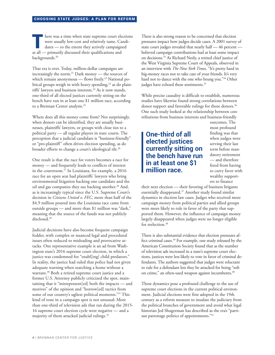There was a time when state supreme court elections<br>were usually low-cost and relatively tame. Candi-<br>dates — to the extent they actively campaigned<br>at all regiments discussed their qualifications and were usually low-cost and relatively tame. Candidates — to the extent they actively campaigned at all — primarily discussed their qualifications and backgrounds.<sup>20</sup>

That era is over. Today, million-dollar campaigns are increasingly the norm.21 Dark money — the sources of which remain anonymous — flows freely.<sup>22</sup> National political groups weigh in with heavy spending, $23$  as do plaintiffs' lawyers and business interests.<sup>24</sup> As it now stands, one-third of all elected justices currently sitting on the bench have run in at least one \$1 million race, according to a Brennan Center analysis.<sup>25</sup>

Where does all this money come from? Not surprisingly, when donors can be identified, they are usually businesses, plaintiffs' lawyers, or groups with close ties to a political party — all regular players in state courts. The perception that a judicial candidate is "business-friendly" or "pro-plaintiff" often drives election spending, as do broader efforts to change a court's ideological tilt.<sup>26</sup>

One result is that the race for voters becomes a race for money — and frequently leads to conflicts of interest in the courtroom.27 In Louisiana, for example, a 2016 race for an open seat had plaintiffs' lawyers who bring environmental litigation backing one candidate and the oil and gas companies they sue backing another.<sup>28</sup> And, as is increasingly typical since the U.S. Supreme Court's decision in *Citizens United v. FEC*, more than half of the \$4.9 million poured into the Louisiana race came from outside groups — and more than \$1 million was "dark," meaning that the source of the funds was not publicly disclosed.<sup>29</sup>

Judicial decisions have also become frequent campaign fodder, with complex or nuanced legal and procedural issues often reduced to misleading and provocative attacks. One representative example is an ad from Washington state's 2016 supreme court election, in which a justice was condemned for "enabl[ing] child predators." In reality, the justice had ruled that police had not given adequate warning when searching a home without a warrant.<sup>30</sup> Both a retired supreme court justice and a former U.S. Attorney publicly criticized the spot, maintaining that it "misrepresent[ed] both the impacts — and motives" of the opinion and "borrow[ed] tactics from some of our country's ugliest political moments."<sup>31</sup> This kind of tone in a campaign spot is not unusual: More than one-third of television ads that ran during the 2015- 16 supreme court election cycle were negative — and a majority of them attacked judicial rulings.32

There is also strong reason to be concerned that election pressures impact how judges decide cases. A 2001 survey of state court judges revealed that nearly half — 46 percent believed campaign contributions had at least some impact on decisions.33 As Richard Neely, a retired chief justice of the West Virginia Supreme Court of Appeals, observed in an interview with *The New York Times*, "It's pretty hard in big-money races not to take care of your friends. It's very hard not to dance with the one who brung you."34 Other judges have echoed these sentiments.<sup>35</sup>

While precise causality is difficult to establish, numerous studies have likewise found strong correlations between donor support and favorable rulings for those donors.<sup>36</sup> One such study looked at the relationship between contributions from business interests and business-friendly

**One-third of all elected justices currently sitting on the bench have run in at least one \$1 million race.**

outcomes. The most profound finding was that when judges were serving their last term before mandatory retirement — and therefore freed from having to curry favor with wealthy supporters to finance

their next election — their favoring of business litigants essentially disappeared.<sup>37</sup> Another study found similar dynamics in election law cases. Judges who received more campaign money from political parties and allied groups were more likely to rule in favor of the party that supported them. However, the influence of campaign money largely disappeared when judges were no longer eligible for reelection.<sup>38</sup>

There is also substantial evidence that election pressures affect criminal cases.39 For example, one study released by the American Constitution Society found that as the number of television ads increased in a state's supreme court elections, justices were less likely to vote in favor of criminal defendants. The authors suggested that judges were reluctant to rule for a defendant lest they be attacked for being "soft on crime," an often-used weapon against incumbents.<sup>40</sup>

These dynamics pose a profound challenge to the use of supreme court elections in the current political environment. Judicial elections were first adopted in the 19th century as a reform measure to insulate the judiciary from the political branches of government and avoid what legal historian Jed Shugerman has described as the era's "partisan patronage politics of appointments."<sup>41</sup>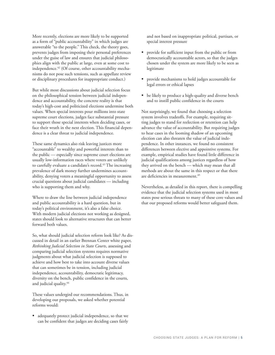More recently, elections are more likely to be supported as a form of "public accountability" in which judges are answerable "to the people." This check, the theory goes, prevents judges from imposing their personal preferences under the guise of law and ensures that judicial philosophies align with the public at large, even at some cost to independence.<sup>42</sup> (Of course, other accountability mechanisms do not pose such tensions, such as appellate review or disciplinary procedures for inappropriate conduct.)

But while most discussions about judicial selection focus on the philosophical tension between judicial independence and accountability, the concrete reality is that today's high-cost and politicized elections undermine both values. When special interests pour millions into state supreme court elections, judges face substantial pressure to support those special interests when deciding cases, or face their wrath in the next election. This financial dependence is a clear threat to judicial independence.

These same dynamics also risk leaving justices more "accountable" to wealthy and powerful interests than to the public — especially since supreme court elections are usually low-information races where voters are unlikely to carefully evaluate a candidate's record.<sup>43</sup> The increasing prevalence of dark money further undermines accountability, denying voters a meaningful opportunity to assess crucial questions about judicial candidates — including who is supporting them and why.

Where to draw the line between judicial independence and public accountability is a hard question, but in today's political environment, it's also a false choice. With modern judicial elections not working as designed, states should look to alternative structures that can better forward both values.

So, what should judicial selection reform look like? As discussed in detail in an earlier Brennan Center white paper, *Rethinking Judicial Selection in State Courts*, assessing and comparing judicial selection systems requires normative judgments about what judicial selection is supposed to achieve and how best to take into account diverse values that can sometimes be in tension, including judicial independence, accountability, democratic legitimacy, diversity on the bench, public confidence in the courts, and judicial quality.<sup>44</sup>

These values undergird our recommendations. Thus, in developing our proposals, we asked whether potential reforms would:

 adequately protect judicial independence, so that we can be confident that judges are deciding cases fairly and not based on inappropriate political, partisan, or special interest pressure

- provide for sufficient input from the public or from democratically accountable actors, so that the judges chosen under the system are more likely to be seen as legitimate
- provide mechanisms to hold judges accountable for legal errors or ethical lapses
- be likely to produce a high-quality and diverse bench and to instill public confidence in the courts

Not surprisingly, we found that choosing a selection system involves tradeoffs. For example, requiring sitting judges to stand for reelection or retention can help advance the value of accountability. But requiring judges to hear cases in the looming shadow of an upcoming election can also threaten the value of judicial independence. In other instances, we found no consistent differences between elective and appointive systems. For example, empirical studies have found little difference in judicial qualifications among justices regardless of how they arrived on the bench — which may mean that all methods are about the same in this respect or that there are deficiencies in measurement.<sup>45</sup>

Nevertheless, as detailed in this report, there is compelling evidence that the judicial selection systems used in most states pose serious threats to many of these core values and that our proposed reforms would better safeguard them.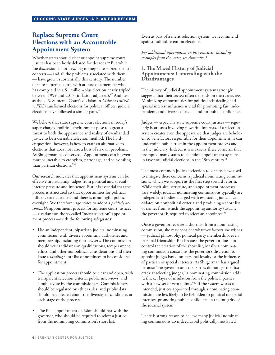## **Replace Supreme Court Elections with an Accountable Appointment System**

Whether states should elect or appoint supreme court justices has been hotly debated for decades.<sup>46</sup> But while the discussion is not new, big money state supreme court contests — and all the problems associated with them — have grown substantially this century. The number of state supreme courts with at least one member who has competed in a \$1 million-plus election nearly tripled between 1999 and 2017 (inflation-adjusted).<sup>47</sup> And just as the U.S. Supreme Court's decision in *Citizens United v. FEC* transformed elections for political offices, judicial elections have followed a similar path.<sup>48</sup>

We believe that state supreme court elections in today's super-charged political environment pose too great a threat to both the appearance and reality of evenhanded justice to be a desirable selection method. The harder question, however, is how to craft an alternative to elections that does not raise a host of its own problems. As Shugerman has observed, "Appointments can be even more vulnerable to cronyism, patronage, and self-dealing than partisan elections."49

Our research indicates that appointment systems can be effective in insulating judges from political and specialinterest pressure and influence. But it is essential that the process is structured so that opportunities for political influence are curtailed and there is meaningful public oversight. We therefore urge states to adopt a *publicly accountable* appointment process for supreme court justices — a variant on the so-called "merit selection" appointment process —with the following safeguards:

- Use an independent, bipartisan judicial nominating commission with diverse appointing authorities and membership, including non-lawyers. The commission should vet candidates on qualifications, temperament, ethics, and other nonpolitical considerations and then issue a *binding* short list of nominees to be considered for appointment.
- The application process should be clear and open, with transparent selection criteria, public interviews, and a public vote by the commissioners. Commissioners should be regulated by ethics rules, and public data should be collected about the diversity of candidates at each stage of the process.
- The final appointment decision should rest with the governor, who should be required to select a justice from the nominating commission's short list.

Even as part of a merit selection system, we recommend against judicial retention elections.

*For additional information on best practices, including examples from the states, see Appendix 1.*

#### **1. The Mixed History of Judicial Appointments: Contending with the Disadvantages**

The history of judicial appointment systems strongly suggests that their *success* often depends on their *structure*. Minimizing opportunities for political self-dealing and special interest influence is vital for promoting fair, independent, and diverse courts — and for public confidence.

Judges — especially state supreme court justices — regularly hear cases involving powerful interests. If a selection system creates even the appearance that judges are beholden to benefactors responsible for their appointment, it can undermine public trust in the appointment process and in the judiciary. Indeed, it was exactly these concerns that prompted many states to abandon appointment systems in favor of judicial elections in the 19th century.<sup>50</sup>

The most common judicial selection tool states have used to mitigate these concerns is judicial nominating commissions, which we support as the first step toward reform. While their size, structure, and appointment processes vary widely, judicial nominating commissions typically are independent bodies charged with evaluating judicial candidates on nonpolitical criteria and producing a short list of names from which the appointing authority (usually the governor) is required to select an appointee.<sup>51</sup>

Once a governor receives a short list from a nominating commission, she may consider whatever factors she wishes — judicial philosophy, political party membership, even personal friendship. But because the governor does not control the creation of the short list, ideally a nominating commission constrains the governor's discretion to appoint judges based on personal loyalty or the influence of partisan or special interests. As Shugerman has argued, because "the governor and the parties do not get the first crack at selecting judges," a nominating commission adds "a thicker layer of insulation from the political parties with a new set of veto points."52 If the system works as intended, justices appointed through a nominating commission are less likely to be beholden to political or special interests, promoting public confidence in the integrity of the judicial system.

There is strong reason to believe many judicial nominating commissions do indeed avoid politically motivated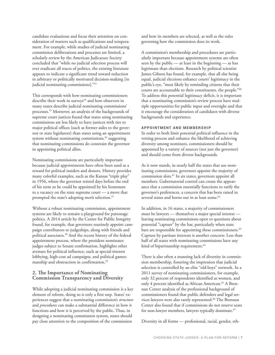candidate evaluations and focus their attention on consideration of matters such as qualifications and temperament. For example, while studies of judicial nominating commission deliberations and processes are limited, a scholarly review by the American Judicature Society concluded that "while no judicial selection process will ever eradicate all traces of politics, the existing literature appears to indicate a significant trend toward reduction in arbitrary or politically motivated decision-making [in judicial nominating commissions]."53

This corresponds with how nominating commissioners describe their work in surveys<sup>54</sup> and how observers in many states describe judicial nominating commissions' processes.55 Moreover, an analysis of the backgrounds of supreme court justices found that states using nominating commissions are less likely to have justices with ties to major political offices (such as former aides to the governor or state legislators) than states using an appointment system without nominating commissions,<sup>56</sup> suggesting that nominating commissions do constrain the governor in appointing political allies.

Nominating commissions are particularly important because judicial appointments have often been used as a reward for political insiders and donors. History provides many colorful examples, such as the Kansas "triple play" in 1956, where the governor retired days before the end of his term so he could be appointed by his lieutenant to a vacancy on the state supreme court — a move that prompted the state's adopting merit selection.<sup>57</sup>

Without a robust nominating commission, appointment systems are likely to remain a playground for patronage politics. A 2014 article by the Center for Public Integrity found, for example, that governors routinely appoint campaign contributors to judgeships, along with friends and political associates.58 And the recent history of the federal appointment process, where the president nominates judges subject to Senate confirmation, highlights other avenues for political influence, such as special-interest lobbying, high-cost ad campaigns, and political gamesmanship and obstruction in confirmation.59

#### **2. The Importance of Nominating Commission Transparency and Diversity**

While adopting a judicial nominating commission is a key element of reform, doing so is only a first step. States' experiences suggest that a nominating commission's *structure* and *procedures* can make a substantial difference in how it functions and how it is perceived by the public. Thus, in designing a nominating commission system, states should pay close attention to the composition of the commission

and how its members are selected, as well as the rules governing how the commission does its work.

A commission's membership and procedures are particularly important because appointment systems are often seen by the public — at least in the beginning — as less legitimate than elections. Research by political scientist James Gibson has found, for example, that all else being equal, judicial elections enhance courts' legitimacy in the public's eye, "most likely by reminding citizens that their courts are accountable to their constituents, the people."60 To address this potential legitimacy deficit, it is important that a nominating commission's review process have multiple opportunities for public input and oversight and that it encourage the consideration of candidates with diverse backgrounds and experience.

#### APPOINTMENT AND MEMBERSHIP

In order to both limit potential political influence in the vetting process and enhance the likelihood of achieving diversity among nominees, commissioners should be appointed by a variety of sources (not just the governor) and should come from diverse backgrounds.

As it now stands, in nearly half the states that use nominating commissions, governors appoint the majority of commission slots.61 In six states, governors appoint all members. Gubernatorial control can create the appearance that a commission essentially functions to ratify the governor's preferences, a concern that has been raised in several states and borne out in at least some.<sup>62</sup>

In addition, in 16 states, a majority of commissioners must be lawyers — themselves a major special interest leaving nominating commissions open to questions about potential "capture" by the bar, particularly when state bars are responsible for appointing these commissioners.<sup>63</sup> Capture by partisan interests is another concern: Less than half of all states with nominating commissions have any kind of bipartisanship requirement.<sup>64</sup>

There is also often a stunning lack of diversity in commission membership, fostering the impression that judicial selection is controlled by an elite "old-boys" network. In a 2011 survey of nominating commissioners, for example, only 32 percent of respondents identified as women, and only 4 percent identified as African American.<sup>65</sup> A Brennan Center analysis of the professional background of commissioners found that public defenders and legal services lawyers were also rarely represented.<sup>66</sup> The Brennan Center also found that if commissions do not reserve seats for non-lawyer members, lawyers typically dominate.<sup>67</sup>

Diversity in all forms — professional, racial, gender, eth-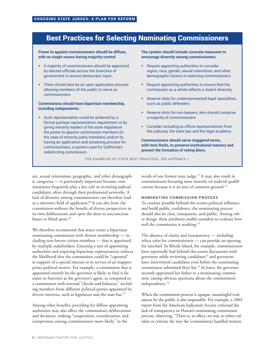## Best Practices for Selecting Nominating Commissioners

**Power to appoint commissioners should be diffuse, with no single source having majority control.** 

- A majority of commissioners should be appointed by elected officials across the branches of government to ensure democratic input.
- There should also be an open application process allowing members of the public to serve as commissioners.

**Commissions should have bipartisan membership, including independents.i**

**Such representation could be achieved by a** formal partisan representation requirement or by giving minority leaders of the state legislature the power to appoint commission members (in the case of minority party members) and/or by having an application and screening process for commissioners, a system used for California's redistricting commission.

#### **The system should include concrete measures to encourage diversity among commissioners:**

- **Require appointing authorities to consider** region, race, gender, sexual orientation, and other demographic factors in selecting commissioners.
- **Require appointing authorities to ensure that the** commission as a whole reflects a state's diversity.
- Reserve slots for underrepresented legal specialties, such as public defenders.
- **Reserve slots for non-lawyers, who should comprise** a majority of commissioners.
- Consider including ex officio representatives from the judiciary, the state bar, and the legal academy.

**Commissioners should serve staggered terms, with term limits, to preserve institutional memory and prevent the formation of voting blocs.** 

FOR EXAMPLES OF STATE BEST PRACTICES, SEE APPENDIX 1.

nic, sexual orientation, geographic, and other demographic categories — is particularly important because commissioners frequently play a key role in *recruiting* judicial candidates, often through their professional networks. A lack of diversity among commissioners can therefore lead to a narrower field of applicants.<sup>68</sup> It can also leave the commission without the benefit of diverse perspectives in its own deliberations and open the door to unconscious biases or blind spots.<sup>69</sup>

We therefore recommend that states create a bipartisan nominating commission with diverse membership — including non-lawyer citizen members — that is appointed by multiple stakeholders. Ensuring a mix of appointing authorities and requiring bipartisan representation reduces the likelihood that the commission could be "captured" in support of a special interest or in service of an inappropriate political motive. For example, a commission that is appointed entirely by the governor is likely to find it far easier to function as the governor's agent, as compared to a commission with internal "checks and balances," including members from different political parties appointed by diverse interests, such as legislators and the state bar.<sup>70</sup>

Among other benefits, providing for diffuse appointing authorities may also affect the commission's deliberations and decisions, making "cooperation, consideration, and compromise among commissioners more likely," in the

words of one former state judge.<sup>71</sup> It may also result in commissioners focusing more intently on judicial qualifications because it is an area of common ground.72

#### NOMINATING COMMISSION PROCESS

To counter possible behind-the-scenes political influence and build public confidence, the nominating process should also be clear, transparent, and public. Among other things, these attributes enable outsiders to evaluate how well the commission is working.<sup>73</sup>

The absence of clarity and transparency — including ethics rules for commissioners — can provide an opening for mischief. In Rhode Island, for example, commissioners have reportedly had behind-the-scenes discussions with governors while reviewing candidates $74$  and governors have interviewed candidates even before the nominating commission submitted their list.75 In Iowa, the governor recently appointed her father to a nominating commission, raising obvious questions about the commission's independence.76

When the commission process is opaque, meaningful evaluation by the public is also impossible. For example, a 2003 report from the American Judicature Society criticized the lack of transparency in Hawaii's nominating commission process, observing, "There is, in effect, no way to either validate or criticize the way the [commission] handled matters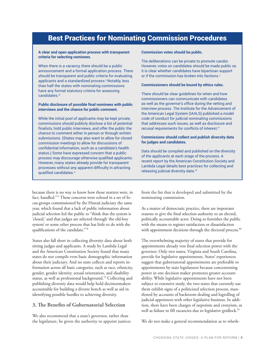## Best Practices for Nominating Commission Procedures

#### **A clear and open application process with transparent criteria for selecting nominees.**

When there is a vacancy, there should be a public announcement and a formal application process. There should be transparent and public criteria for evaluating applicants and a standardized process.<sup>ii</sup> Notably, less than half the states with nominating commissions have any formal statutory criteria for assessing candidates.iii

#### **Public disclosure of possible final nominees with public interviews and the chance for public comment.**

While the initial pool of applicants may be kept private, commissions should publicly disclose a list of potential finalists, hold public interviews, and offer the public the chance to comment either in person or through written submissions. (States may also want to allow for closed commission meetings to allow for discussions of confidential information, such as a candidate's health status.) Some have expressed concern that a public process may discourage otherwise qualified applicants. However, many states already provide for transparent processes without any apparent difficulty in attracting qualified candidates.<sup>iv</sup>

because there is no way to know how those matters were, in fact, handled."77 These concerns were echoed in a set of focus groups commissioned by the Hawaii judiciary the same year, which found that a lack of public information about judicial selection led the public to "think that the system is 'closed,' and that judges are selected through 'the old-boy system' or some other process that has little to do with the qualifications of the candidate."78

States also fall short in collecting diversity data about both sitting judges and applicants. A study by Lambda Legal and the American Constitution Society found that many states do not compile even basic demographic information about their judiciary. And no state collects and reports information across all basic categories, such as race, ethnicity, gender, gender identity, sexual orientation, and disability status, as well as professional background.79 Collecting and publishing diversity data would help hold decisionmakers accountable for building a diverse bench as well as aid in identifying possible hurdles to achieving diversity.

#### **3. The Benefits of Gubernatorial Selection**

We also recommend that a state's governor, rather than the legislature, be given the authority to appoint justices

#### **Commission votes should be public.**

The deliberations can be private to promote candor. However, votes on candidates should be made public so it is clear whether candidates have bipartisan support or if the commission has broken into factions.

#### **Commissioners should be bound by ethics rules.**

There should be clear guidelines for when and how commissioners can communicate with candidates as well as the governor's office during the vetting and interview process. The Institute for the Advancement of the American Legal System (IAALS) published a model code of conduct for judicial nominating commissions that addresses such issues, as well as disclosure and recusal requirements for conflicts of interest.<sup>vi</sup>

#### **Commissions should collect and publish diversity data for judges and candidates.**

Data should be compiled and published on the diversity of the applicants at each stage of the process. A recent report by the American Constitution Society and Lambda Legal details best practices for collecting and releasing judicial diversity data.<sup>vii</sup>

from the list that is developed and submitted by the nominating commission.

As a matter of democratic practice, there are important reasons to give the final selection authority to an elected, politically accountable actor. Doing so furnishes the public with the means to register satisfaction or dissatisfaction with appointment decisions through the electoral process.<sup>80</sup>

The overwhelming majority of states that provide for appointments already vest final selection power with the governor. Only two states, Virginia and South Carolina, provide for legislative appointments. States' experiences suggest that gubernatorial appointments are preferable to appointments by state legislatures because concentrating power in one decision maker promotes greater accountability. While legislative appointments have not been subject to extensive study, the two states that currently use them exhibit signs of a politicized selection process, manifested by accounts of backroom dealing and logrolling of judicial appointees with other legislative business. In addition, there have been charges of nepotism and cronyism, as well as failure to fill vacancies due to legislative gridlock.<sup>81</sup>

We do not make a general recommendation as to wheth-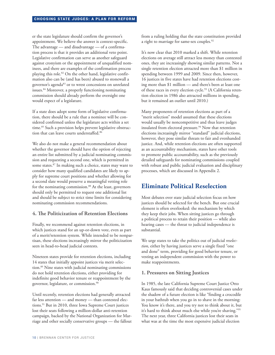#### CHOOSING STATE JUDGES: A PLAN FOR REFORM

er the state legislature should confirm the governor's appointment. We believe the answer is context-specific. The advantage — and disadvantage — of a confirmation process is that it provides an additional veto point. Legislative confirmation can serve as another safeguard against cronyism or the appointment of unqualified nominees, and there are examples of the confirmation process playing this role.<sup>82</sup> On the other hand, legislative confirmation also can be (and has been) abused to stonewall a governor's agenda<sup>83</sup> or to wrest concessions on unrelated issues.84 Moreover, a properly functioning nominating commission should already perform the oversight one would expect of a legislature.

If a state does adopt some form of legislative confirmation, there should be a rule that a nominee will be considered confirmed unless the legislature acts within a set time.<sup>85</sup> Such a provision helps prevent legislative obstruction that can leave courts understaffed.86

We also do not make a general recommendation about whether the governor should have the option of rejecting an entire list submitted by a judicial nominating commission and requesting a second one, which is permitted in some states.87 In making such a choice, states may want to consider how many qualified candidates are likely to apply for supreme court positions and whether allowing for a second slate would preserve a meaningful vetting role for the nominating commission.<sup>88</sup> At the least, governors should only be permitted to request one additional list and should be subject to strict time limits for considering nominating commission recommendations.

#### **4. The Politicization of Retention Elections**

Finally, we recommend against retention elections, in which justices stand for an up-or-down vote, even as part of a merit/retention system. While intended to be nonpartisan, these elections increasingly mirror the politicization seen in head-to-head judicial contests.

Nineteen states provide for retention elections, including 14 states that initially appoint justices via merit selection.89 Nine states with judicial nominating commissions do not hold retention elections, either providing for indefinite good behavior tenure or reappointment by the governor, legislature, or commission.90

Until recently, retention elections had generally attracted far less attention — and money — than contested elections.<sup>91</sup> But in 2010, three Iowa Supreme Court justices lost their seats following a million-dollar anti-retention campaign, backed by the National Organization for Marriage and other socially conservative groups — the fallout

from a ruling holding that the state constitution provided a right to marriage for same-sex couples.<sup>92</sup>

It's now clear that 2010 marked a shift. While retention elections on average still attract less money than contested ones, they are increasingly showing similar patterns. Not a single retention election attracted more than \$1 million in spending between 1999 and 2009. Since then, however, 16 justices in five states have had retention elections costing more than \$1 million — and there's been at least one of these races in every election cycle.<sup>93</sup> (A California retention election in 1986 also attracted millions in spending, but it remained an outlier until 2010.)

Many proponents of retention elections as part of a "merit selection" model assumed that these elections would usually be noncompetitive and thus leave judges insulated from electoral pressure.<sup>94</sup> Now that retention elections increasingly mirror "standard" judicial elections, however, they pose similar threats to fair and evenhanded justice. And, while retention elections are often supported as an accountability mechanism, states have other tools to promote public accountability, such as the previously detailed safeguards for nominating commissions coupled with robust and public judicial evaluation and disciplinary processes, which are discussed in Appendix 2.

## **Eliminate Political Reselection**

Most debates over state judicial selection focus on how justices should be selected for the bench. But one crucial element is often overlooked: the mechanism by which they keep their jobs. When sitting justices go through a political process to retain their position — while also hearing cases — the threat to judicial independence is substantial.

We urge states to take the politics out of judicial *reselection*, either by having justices serve a single fixed "one and done" term, providing for good behavior tenure, or vesting an independent commission with the power to make reappointments.

#### **1. Pressures on Sitting Justices**

In 1985, the late California Supreme Court Justice Otto Kaus famously said that deciding controversial cases under the shadow of a future election is like "finding a crocodile in your bathtub when you go in to shave in the morning: You know it's there, and you try not to think about it, but it's hard to think about much else while you're shaving."95 The next year, three California justices lost their seats in what was at the time the most expensive judicial election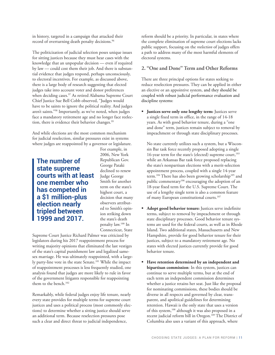in history, targeted in a campaign that attacked their record of overturning death penalty decisions.<sup>96</sup>

The politicization of judicial selection poses unique issues for sitting justices because they must hear cases with the knowledge that an unpopular decision — even if required by law — could cost them their job. And there is substantial evidence that judges respond, perhaps unconsciously, to electoral incentives. For example, as discussed above, there is a large body of research suggesting that elected judges take into account voter and donor preferences when deciding cases.<sup>97</sup> As retired Alabama Supreme Court Chief Justice Sue Bell Cobb observed, "Judges would have to be saints to ignore the political reality. And judges aren't saints."98 Importantly, as we've noted, when judges face a mandatory retirement age and no longer face reelection, there is evidence their behavior changes.<sup>99</sup>

And while elections are the most common mechanism for judicial reselection, similar pressures exist in systems where judges are reappointed by a governor or legislature.

**The number of state supreme courts with at least one member who has competed in a \$1 million-plus election nearly tripled between 1999 and 2017.**

For example, in 2006, New York Republican Gov. George Pataki declined to renew Judge George Smith for another term on the state's highest court, a decision that many observers attributed to Smith's opinion striking down the state's death penalty law.100 In Connecticut, State

Supreme Court Justice Richard Palmer was criticized by legislators during his 2017 reappointment process for writing majority opinions that eliminated the last vestiges of the state's capital punishment law and legalized samesex marriage. He was ultimately reappointed, with a largely party-line vote in the state Senate.101 While the impact of reappointment processes is less frequently studied, one analysis found that judges are more likely to rule in favor of the government litigants responsible for reappointing them to the bench.<sup>102</sup>

Remarkably, while federal judges enjoy life tenure, nearly every state provides for multiple terms for supreme court justices and uses a political process (most commonly elections) to determine whether a sitting justice should serve an additional term. Because reselection pressures pose such a clear and direct threat to judicial independence,

reform should be a priority. In particular, in states where the complete elimination of supreme court elections lacks public support, focusing on the *reelection* of judges offers a path to address many of the most harmful elements of electoral systems.

#### **2. "One and Done" Term and Other Reforms**

There are three principal options for states seeking to reduce reselection pressures. They can be applied in either an elective or an appointive system, and they should be coupled with robust judicial performance evaluation and discipline systems:

**Justices serve only one lengthy term:** Justices serve a single fixed term in office, in the range of 14-18 years. As with good behavior tenure, during a "one and done" term, justices remain subject to removal by impeachment or through state disciplinary processes.

No state currently utilizes such a system, but a Wisconsin Bar task force recently proposed adopting a single 16-year term for the state's (elected) supreme court,<sup>103</sup> while an Arkansas Bar task force proposed replacing the state's nonpartisan elections with a merit-selection appointment process, coupled with a single 14-year term.<sup>104</sup> There has also been growing scholarship<sup>105</sup> and public commentary<sup>106</sup> encouraging the adoption of an 18-year fixed term for the U.S. Supreme Court. The use of a lengthy single term is also a common feature of many European constitutional courts.<sup>107</sup>

- **Adopt good behavior tenure:** Justices serve indefinite terms, subject to removal by impeachment or through state disciplinary processes. Good behavior tenure systems are used for the federal courts, as well as in Rhode Island. Two additional states, Massachusetts and New Hampshire, provide for good behavior tenure for their justices, subject to a mandatory retirement age. No states with elected justices currently provide for good behavior tenure.
- **Have retention determined by an independent and bipartisan commission**: In this system, justices can continue to serve multiple terms, but at the end of each term an independent commission determines whether a justice retains her seat. Just like the proposal for nominating commissions, these bodies should be diverse in all respects and governed by clear, transparent, and apolitical guidelines for determining retention. Hawaii is the only state that uses a version of this system,<sup>108</sup> although it was also proposed in a recent judicial reform bill in Oregon.109 The District of Columbia also uses a variant of this approach, where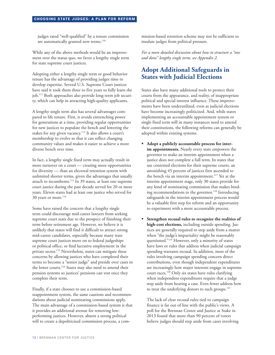judges rated "well-qualified" by a tenure commission are automatically granted new terms.<sup>110</sup>

While any of the above methods would be an improvement over the status quo, we favor a lengthy single term for state supreme court justices.

Adopting either a lengthy single term or good behavior tenure has the advantage of providing judges time to develop expertise. Several U.S. Supreme Court justices have said it took them three to five years to fully learn the job.111 Both approaches also provide long-term job security, which can help in attracting high-quality applicants.

A lengthy single term also has several advantages compared to life tenure. First, it avoids entrenching power for generations at a time, providing regular opportunities for new justices to populate the bench and lowering the stakes for any given vacancy.<sup>112</sup> It also allows a court's membership to evolve so that it can reflect changing community values and makes it easier to achieve a more diverse bench over time.

In fact, a lengthy single fixed term may actually result in more turnover on a court — creating more opportunities for diversity — than an electoral retention system with unlimited shorter terms, given the advantages that usually attach to incumbents.113 In 39 states, at least one supreme court justice during the past decade served for 20 or more years. Eleven states had at least one justice who served for 30 years or more.<sup>114</sup>

Some have raised the concern that a lengthy single term could discourage mid-career lawyers from seeking supreme court seats due to the prospect of finishing their term before retirement age. However, we believe it is unlikely that states will find it difficult to attract strong mid-career candidates, especially because many state supreme court justices move on to federal judgeships or political office, or find lucrative employment in the private sector.<sup>115</sup> Nevertheless, states can mitigate these concerns by allowing justices who have completed their terms to become a "senior judge" and preside over cases in the lower courts.<sup>116</sup> States may also need to amend their pension systems so justices' pensions can vest once they complete their term.

Finally, if a state chooses to use a commission-based reappointment system, the same cautions and recommendations about judicial nominating commissions apply. The main advantage of a commission-based system is that it provides an additional avenue for removing lowperforming justices. However, absent a strong political will to create a depoliticized commission process, a com-

mission-based retention scheme may not be sufficient to insulate judges from political pressure.

*For a more detailed discussion about how to structure a "one and done" lengthy single term, see Appendix 2.*

## **Adopt Additional Safeguards in States with Judicial Elections**

States also have many additional tools to protect their courts from the appearance, and reality, of inappropriate political and special interest influence. These improvements have been underutilized, even as judicial elections have become increasingly politicized. And, while states implementing an accountable appointment system or single fixed term will in many instances need to amend their constitutions, the following reforms can generally be adopted within existing systems.

- **Adopt a publicly accountable process for interim appointments.** Nearly every state empowers the governor to make an interim appointment when a justice does not complete a full term. In states that use contested elections for their supreme courts, an astonishing 45 percent of justices first ascended to the bench via an interim appointment.<sup>117</sup> Yet at the interim appointment stage, only 30 states provide for any kind of nominating commission that makes binding recommendations to the governor.<sup>118</sup> Introducing safeguards in the interim appointment process would be a valuable first step for reform and an opportunity to experiment with a more accountable process.
- **Strengthen recusal rules to recognize the realities of high-cost elections,** including outside spending. Justices are generally required to step aside from a matter when "the judge's impartiality might be reasonably questioned."119 However, only a minority of states have laws or rules that address when judicial campaign spending warrants recusal. In addition, most of the rules involving campaign spending concern direct contributions, even though independent expenditures are increasingly how major interests engage in supreme court races.120 Only six states have rules clarifying when independent expenditures require that a judge step aside from hearing a case. Even fewer address how to treat the underlying donors to such groups.<sup>121</sup>

The lack of clear recusal rules tied to campaign finance is far out of line with the public's views. A poll for the Brennan Center and Justice at Stake in 2013 found that more than 90 percent of voters believe judges should step aside from cases involving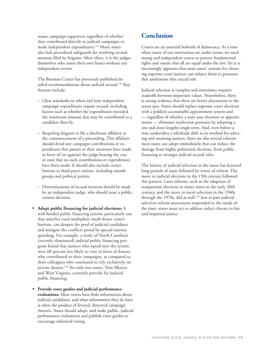major campaign supporters regardless of whether they contributed directly to judicial campaigns or made independent expenditures.122 Many states also lack procedural safeguards for resolving recusal motions filed by litigants. Most often, it is the judges themselves who assess their own biases without any independent review.

The Brennan Center has previously published detailed recommendations about judicial recusal.<sup>123</sup> Key features include:

- Clear standards on when and how independent campaign expenditures require recusal, including factors such as whether the expenditures exceeded the maximum amount that may be contributed to a candidate directly.
- Requiring litigants to file a disclosure affidavit at the commencement of a proceeding. This affidavit should detail any campaign contributions or expenditures that parties or their attorneys have made in favor of (or against) the judge hearing the case or state that no such contributions or expenditures have been made. It should also include contributions to third-party entities, including outside groups and political parties.
- Determinations of recusal motions should be made by an independent judge, who should issue a public, written decision.
- **Adopt public financing for judicial elections:** A well-funded public financing system, particularly one that matches (and multiplies) small-donor contributions, can deepen the pool of judicial candidates and mitigate the conflicts posed by special interest spending. For example, a study of North Carolina's (recently eliminated) judicial public financing program found that justices who opted into the system were 60 percent less likely to vote in favor of donors who contributed to their campaigns, as compared to their colleagues who continued to rely exclusively on private donors.124 Yet only two states, New Mexico and West Virginia, currently provide for judicial public financing.
- **Provide voter guides and judicial performance evaluations.** Most voters have little information about judicial candidates, and what information they do have is often the product of fevered, distorted campaign rhetoric. States should adopt, and make public, judicial performance evaluations and publish voter guides to encourage informed voting.

## **Conclusion**

Courts are an essential bulwark of democracy. At a time when many of our institutions are under strain, we need strong and independent courts to protect fundamental rights and ensure that all are equal under the law. Yet it is increasingly apparent that most states' systems for choosing supreme court justices can subject them to pressures that undermine this crucial role.

Judicial selection is complex and sometimes requires tradeoffs between important values. Nonetheless, there is strong evidence that there are better alternatives to the status quo. States should replace supreme court elections with a publicly accountable appointment system and — regardless of whether a state uses elections or appointments — eliminate reselection pressures by adopting a one and done lengthy single term. And, even before a state undertakes a wholesale shift in its method for selecting and retaining justices, there are also several reforms most states can adopt immediately that can reduce the damage from highly politicized elections, from public financing to stronger judicial recusal rules.

The history of judicial selection in the states has featured long periods of stasis followed by waves of reform. The move to judicial elections in the 19th century followed this pattern. Later reforms, such as the adoption of nonpartisan elections in many states in the early 20th century, and the move to merit selection in the 1940s through the 1970s, did as well.<sup>125</sup> Just as past judicial selection reform movements responded to the needs of the time, states must act to address today's threats to fair and impartial justice.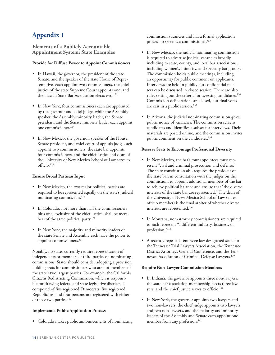## **Appendix 1**

**Elements of a Publicly Accountable Appointment System: State Examples**

#### **Provide for Diffuse Power to Appoint Commissioners**

- In Hawaii, the governor, the president of the state Senate, and the speaker of the state House of Representatives each appoint two commissioners, the chief justice of the state Supreme Court appoints one, and the Hawaii State Bar Association elects two.<sup>126</sup>
- In New York, four commissioners each are appointed by the governor and chief judge, while the Assembly speaker, the Assembly minority leader, the Senate president, and the Senate minority leader each appoint one commissioner.<sup>127</sup>
- In New Mexico, the governor, speaker of the House, Senate president, and chief court of appeals judge each appoint two commissioners, the state bar appoints four commissioners, and the chief justice and dean of the University of New Mexico School of Law serve ex officio.128

#### **Ensure Broad Partisan Input**

- In New Mexico, the two major political parties are required to be represented equally on the state's judicial nominating commission.<sup>129</sup>
- In Colorado, not more than half the commissioners plus one, exclusive of the chief justice, shall be members of the same political party.<sup>130</sup>
- In New York, the majority and minority leaders of the state Senate and Assembly each have the power to appoint commissioners.<sup>131</sup>

Notably, no states currently require representation of independents or members of third parties on nominating commissions. States should consider adopting a provision holding seats for commissioners who are not members of the state's two largest parties. For example, the California Citizens Redistricting Commission, which is responsible for drawing federal and state legislative districts, is composed of five registered Democrats, five registered Republicans, and four persons not registered with either of those two parties.132

#### **Implement a Public Application Process**

Colorado makes public announcements of nominating

commission vacancies and has a formal application process to serve as a commissioner.<sup>133</sup>

- In New Mexico, the judicial nominating commission is required to advertise judicial vacancies broadly, including to state, county, and local bar associations, including women's, minority, and specialty bar groups. The commission holds public meetings, including an opportunity for public comment on applicants. Interviews are held in public, but confidential matters can be discussed in closed session. There are also rules setting out the criteria for assessing candidates.<sup>134</sup> Commission deliberations are closed, but final votes are cast in a public session.<sup>135</sup>
- In Arizona, the judicial nominating commission gives public notice of vacancies. The commission screens candidates and identifies a subset for interviews. Their materials are posted online, and the commission invites public comment on the candidates.<sup>136</sup>

#### **Reserve Seats to Encourage Professional Diversity**

- In New Mexico, the bar's four appointees must represent "civil and criminal prosecution and defense." The state constitution also requires the president of the state bar, in consultation with the judges on the commission, to appoint additional members of the bar to achieve political balance and ensure that "the diverse interests of the state bar are represented." The dean of the University of New Mexico School of Law (an ex officio member) is the final arbiter of whether diverse interests are represented.<sup>137</sup>
- In Montana, non-attorney commissioners are required to each represent "a different industry, business, or profession."138
- A recently repealed Tennessee law designated seats for the Tennessee Trial Lawyers Association, the Tennessee District Attorneys General Conference, and the Tennessee Association of Criminal Defense Lawyers.<sup>139</sup>

#### **Require Non-Lawyer Commission Members**

- In Indiana, the governor appoints three non-lawyers, the state bar association membership elects three lawyers, and the chief justice serves ex officio.<sup>140</sup>
- In New York, the governor appoints two lawyers and two non-lawyers, the chief judge appoints two lawyers and two non-lawyers, and the majority and minority leaders of the Assembly and Senate each appoint one member from any profession.<sup>141</sup>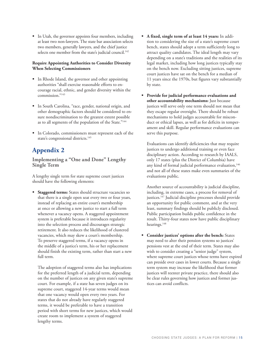In Utah, the governor appoints four members, including at least two non-lawyers. The state bar association selects two members, generally lawyers, and the chief justice selects one member from the state's judicial council.<sup>142</sup>

#### **Require Appointing Authorities to Consider Diversity When Selecting Commissioners**

- In Rhode Island, the governor and other appointing authorities "shall exercise reasonable efforts to encourage racial, ethnic, and gender diversity within the commission."143
- In South Carolina, "race, gender, national origin, and other demographic factors should be considered to ensure nondiscrimination to the greatest extent possible as to all segments of the population of the State."144
- In Colorado, commissioners must represent each of the state's congressional districts.<sup>145</sup>

## **Appendix 2**

**Implementing a "One and Done" Lengthy Single Term**

A lengthy single term for state supreme court justices should have the following elements:

**Staggered terms:** States should structure vacancies so that there is a single open seat every two or four years, instead of replacing an entire court's membership at once or allowing a new justice to start a full term whenever a vacancy opens. A staggered appointment system is preferable because it introduces regularity into the selection process and discourages strategic retirement. It also reduces the likelihood of clustered vacancies, which may skew a court's membership. To preserve staggered terms, if a vacancy opens in the middle of a justice's term, his or her replacement should finish the existing term, rather than start a new full term.

The adoption of staggered terms also has implications for the preferred length of a judicial term, depending on the number of justices on any given state's supreme court. For example, if a state has seven judges on its supreme court, staggered 14-year terms would mean that one vacancy would open every two years. For states that do not already have regularly staggered terms, it would be preferable to have a transition period with short terms for new justices, which would create room to implement a system of staggered lengthy terms.

- **A fixed, single term of at least 14 years:** In addition to considering the size of a state's supreme court bench, states should adopt a term sufficiently long to attract quality candidates. The ideal length may vary depending on a state's traditions and the realities of its legal market, including how long justices typically stay on the bench now. Excluding sitting justices, supreme court justices have sat on the bench for a median of 11 years since the 1970s, but figures vary substantially by state.
- **Provide for judicial performance evaluations and other accountability mechanisms:** Just because justices will serve only one term should not mean that they escape regular oversight. There should be robust mechanisms to hold judges accountable for misconduct or ethical lapses, as well as for deficits in temperament and skill. Regular performance evaluations can serve this purpose.

Evaluations can identify deficiencies that may require justices to undergo additional training or even face disciplinary action. According to research by IAALS, only 17 states (plus the District of Columbia) have any kind of formal judicial performance evaluation,<sup>146</sup> and not all of these states make even summaries of the evaluations public.

Another source of accountability is judicial discipline, including, in extreme cases, a process for removal of justices.<sup>147</sup> Judicial discipline processes should provide an opportunity for public comment, and at the very least, summary findings should be publicly disclosed. Public participation builds public confidence in the result. Thirty-four states now have public disciplinary hearings.<sup>148</sup>

**Consider justices' options after the bench:** States may need to alter their pension systems so justices' pensions vest at the end of their term. States may also wish to consider creating a "senior judge" system, where supreme court justices whose terms have expired can preside over cases in lower courts. Because a single term system may increase the likelihood that former justices will reenter private practice, there should also be clear rules governing how justices and former justices can avoid conflicts.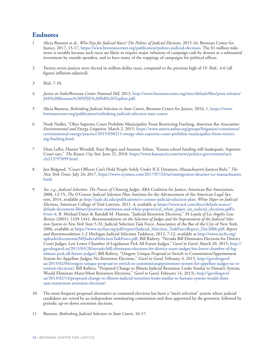## **Endnotes**

- 1 Alicia Bannon et al., *Who Pays for Judicial Races? The Politics of Judicial Elections*, 2015-16, Brennan Center for Justice, 2017, 15-17, https://www.brennancenter.org/publication/politics-judicial-elections. The \$1 million milestone is notable because such races are likely to require major infusions of campaign cash by donors or a substantial investment by outside spenders, and to have many of the trappings of campaigns for political offices.
- 2 Twenty-seven justices were elected in million-dollar races, compared to the previous high of 19. Ibid., 4-6 (all figures inflation-adjusted).
- 3 Ibid, 7-10.
- 4 *Justice at Stake/Brennan Center National Poll,* 2013, http://www.brennancenter.org/sites/default/files/press-releases/ JAS%20Brennan%20NPJE%20Poll%20Topline.pdf.
- 5 Alicia Bannon, *Rethinking Judicial Selection in State Courts*, Brennan Center for Justice, 2016, 1, https://www. brennancenter.org/publication/rethinking-judicial-selection-state-courts.
- 6 Noah Nadler, "Ohio Supreme Court Prohibits Municipality From Restricting Fracking, *American Bar Association: Environmental and Energy Litigation*, March 2, 2015, https://www.americanbar.org/groups/litigation/committees/ environmental-energy/practice/2015/030215-energy-ohio-supreme-court-prohibits-municipality-from-restricting-fracking.html.
- 7 Dion Lefler, Hunter Woodall, Katy Bergen and Suzanne Tobias, "Kansas school funding still inadequate, Supreme Court says," *The Kansas City Star,* June 25, 2018, https://www.kansascity.com/news/politics-government/article213797099.html.
- 8 Jess Bidgood, "Court Officers Can't Hold People Solely Under ICE Detainers, Massachusetts Justices Rule," *The New York Times,* July 24, 2017, https://www.nytimes.com/2017/07/24/us/immigration-detainer-ice-massachusetts. html.
- 9 *See, e.g*., *Judicial Selection: The Process of Choosing Judges,* ABA Coalition for Justice, American Bar Association, 2008, 12-15; *The O'Connor Judicial Selection Plan*, Institute for the Advancement of the American Legal System, 2014, available at http://iaals.du.edu/publications/o-connor-judicial-selection-plan; *White Paper on Judicial Elections,* American College of Trial Lawyers, 2011, 4, available at https://www.actl.com/docs/default-source/ default-document-library/position-statements-and-white-papers/actl\_white\_paper\_on\_judicial\_elections.pdf?sfvrsn=4; B. Michael Dann & Randall M. Hansen, "Judicial Retention Elections," 34 *Loyola of Los Angeles Law Review* (2001): 1439-1441; *Recommendations on the Selection of Judges and the Improvement of the Judicial Selection System in New York State* 5-32, Judicial Selection Task Force, Association of the Bar of the City of New York, 2006, available at https://www.nycbar.org/pdf/report/Judicial\_Selection\_TaskForceReport\_Dec2006.pdf; *Report and Recommendations* 1-2 Michigan Judicial Selection Taskforce, 2012, 7-12, available at http://www.mcfn.org/ uploads/documents/MIJudicialSelectionTaskForce.pdf; Bill Raftery, "Nevada Bill Eliminates Elections for District Court Judges; Lets Lower Chamber of Legislature Pick All Future Judges," *Gavel to Gavel*, March 20, 2015, http:// gaveltogavel.us/2015/03/20/nevada-bill-eliminates-elections-for-district-court-judges-lets-lower-chamber-of-legislature-pick-all-future-judges/; Bill Raftery, "Oregon: Unique Proposal to Switch to Commission/Appointment System for Appellate Judges; No Retention Elections," *Gavel to Gavel,* February 4, 2015, http://gaveltogavel. us/2015/02/04/oregon-unique-proposal-to-switch-to-commissionappointment-system-for-appellate-judges-no-retention-elections/; Bill Raftery, "Proposed Change to Illinois Judicial Retention Looks Similar to Hawaii's System; Would Eliminate Many/Most Retention Elections," *Gavel to Gavel*, February 14, 2013), http://gaveltogavel. us/2013/02/14/proposed-change-to-illinois-judicial-retention-looks-similar-to-hawaiis-system-would-eliminate-manymost-retention-elections/.
- 10 The most frequent proposed alternative to contested elections has been a "merit selection" system where judicial candidates are vetted by an independent nominating commission and then appointed by the governor, followed by periodic up-or-down retention elections.
- 11 Bannon, *Rethinking Judicial Selection in State Courts*, 16-17.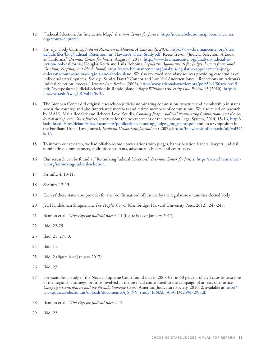- 12 "Judicial Selection: An Interactive Map," *Brennan Center for Justice,* http://judicialselectionmap.brennancenter. org/?court=Supreme.
- 13 *See, e.g*., Cody Cutting, *Judicial Retention in Hawaii: A Case Study, 2016,* https://www.brennancenter.org/sites/ default/files/blog/Judicial\_Retention\_in\_Hawaii-A\_Case\_Study.pdf; Reece Trevor, "Judicial Selection: A Look at California," *Brennan Center for Justice*, August 7, 2017, http://www.brennancenter.org/analysis/judicial-selection-look-california; Douglas Keith and Laila Robbins, *Legislative Appointments for Judges: Lessons from South Carolina, Virginia, and Rhode Island,* https://www.brennancenter.org/analysis/legislative-appointments-judges-lessons-south-carolina-virginia-and-rhode-island. We also reviewed secondary sources providing case studies of individual states' systems. *See, e.g*,, Sandra Day O'Connor and RonNell Andersen Jones, "Reflections on Arizona's Judicial Selection Process*," Arizona Law Review* (2008), http://www.arizonalawreview.org/pdf/50-1/50arizlrev15. pdf; "Symposium: Judicial Selection in Rhode Island," *Roger Williams University Law Review* 15 (2010), https:// docs.rwu.edu/rwu\_LR/vol15/iss3/.
- 14 The Brennan Center did original research on judicial nominating commission structure and membership in states across the country, and also interviewed members and retired members of commissions. We also relied on research by IAALS, Malia Reddick and Rebecca Love Kourlis, *Choosing Judges: Judicial Nominating Commissions and the Selection of Supreme Court Justices*, Institute for the Advancement of the American Legal System, 2014, 15-16, http:// iaals.du.edu/sites/default/files/documents/publications/choosing\_judges\_jnc\_report.pdf, and on a symposium in the Fordham Urban Law Journal, *Fordham Urban Law Journal* 34 (2007), https://ir.lawnet.fordham.edu/ulj/vol34/ iss1/.
- 15 To inform our research, we had off-the-record conversations with judges, bar association leaders, lawyers, judicial nominating commissioners, political consultants, advocates, scholars, and court users.
- 16 Our research can be found at "Rethinking Judicial Selection," *Brennan Center for Justice,* https://www.brennancenter.org/rethinking-judicial-selection.
- 17 *See* infra 4, 10-11.
- 18 *See* infra 12-13*.*
- 19 Each of these states also provides for the "confirmation" of justices by the legislature or another elected body.
- 20 Jed Handelsman Shugerman, *The People's Courts* (Cambridge: Harvard University Press, 2012), 247-248.
- 21 Bannon et al., *Who Pays for Judicial Races?*, 11 (figure is as of January 2017).
- 22 Ibid*,* 22-25.
- 23 Ibid*,* 21, 27-30.
- 24 Ibid*,* 11.
- 25 Ibid*,* 2 (figure is of January 2017).
- 26 Ibid, 27.
- 27 For example, a study of the Nevada Supreme Court found that in 2008-09, in 60 percent of civil cases at least one of the litigants, attorneys, or firms involved in the case had contributed to the campaign of at least one justice. *Campaign Contributors and the Nevada Supreme Court*, American Judicature Society, 2010, 2, available at http:// www.judicialselection.us/uploads/documents/AJS\_NV\_study\_FINAL\_A3A7D42494729.pdf.
- 28 Bannon et al., *Who Pays for Judicial Races?*, 12.
- 29 Ibid, 22.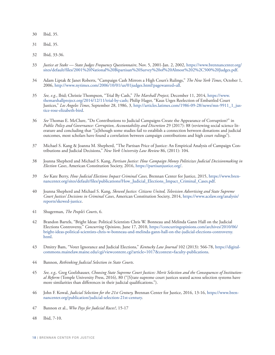- 30 Ibid, 35.
- 31 Ibid, 35.
- 32 Ibid, 33-36.
- 33 *Justice at Stake State Judges Frequency Questionnaire*, Nov. 5, 2001-Jan. 2, 2002, https://www.brennancenter.org/ sites/default/files/2001%20National%20Bipartisan%20Survey%20of%20Almost%202%2C500%20Judges.pdf.
- 34 Adam Liptak & Janet Roberts, "Campaign Cash Mirrors a High Court's Rulings," *The New York Times*, October 1, 2006, http://www.nytimes.com/2006/10/01/us/01judges.html?pagewanted=all.
- 35 *See, e.g.*, Ibid; Christie Thompson, "Trial By Cash," *The Marshall Project,* December 11, 2014, https://www. themarshallproject.org/2014/12/11/trial-by-cash; Philip Hager, "Kaus Urges Reelection of Embattled Court Justices," *Los Angeles Times*, September 28, 1986, 3, http://articles.latimes.com/1986-09-28/news/mn-9911\_1\_justice-rose-elizabeth-bird.
- 36 *See* Thomas E. McClure, "Do Contributions to Judicial Campaigns Create the Appearance of Corruption?" in *Public Policy and Governance: Corruption, Accountability and Discretion* 29 (2017): 88 (reviewing social science literature and concluding that "[a]lthough some studies fail to establish a connection between donations and judicial outcomes, most scholars have found a correlation between campaign contributions and high court rulings").
- 37 Michael S. Kang & Joanna M. Shepherd, "The Partisan Price of Justice: An Empirical Analysis of Campaign Contributions and Judicial Decisions," *New York University Law Review* 86, (2011): 104.
- 38 Joanna Shepherd and Michael S. Kang, *Partisan Justice: How Campaign Money Politicizes Judicial Decisionmaking in Election Cases*, American Constitution Society, 2016, https://partisanjustice.org/.
- 39 *See* Kate Berry, *How Judicial Elections Impact Criminal Cases,* Brennan Center for Justice, 2015, https://www.brennancenter.org/sites/default/files/publications/How\_Judicial\_Elections\_Impact\_Criminal\_Cases.pdf.
- 40 Joanna Shepherd and Michael S. Kang, *Skewed Justice: Citizens United, Television Advertising and State Supreme Court Justices' Decisions in Criminal Cases*, American Constitution Society, 2014, https://www.acslaw.org/analysis/ reports/skewed-justice.
- 41 Shugerman, *The People's Courts*, 6.
- 42 Brandon Bartels, "Bright Ideas: Political Scientists Chris W. Bonneau and Melinda Gann Hall on the Judicial Elections Controversy," *Concurring Opinions*, June 17, 2010, https://concurringopinions.com/archives/2010/06/ bright-ideas-political-scientists-chris-w-bonneau-and-melinda-gann-hall-on-the-judicial-elections-controversy. html.
- 43 Dmitry Bam, "Voter Ignorance and Judicial Elections," *Kentucky Law Journal* 102 (2013): 566-78, https://digitalcommons.mainelaw.maine.edu/cgi/viewcontent.cgi?article=1017&context=faculty-publications.
- 44 Bannon, *Rethinking Judicial Selection in State Courts*.
- 45 *See, e.g*,*.* Greg Goelzhauser, *Choosing State Supreme Court Justices: Merit Selection and the Consequences of Institutional Reform* (Temple University Press, 2016), 80 ("[S]tate supreme court justices seated across selection systems have more similarities than differences in their judicial qualifications.").
- 46 John F. Kowal, *Judicial Selection for the 21st Century,* Brennan Center for Justice, 2016, 13-16, https://www.brennancenter.org/publication/judicial-selection-21st-century.
- 47 Bannon et al., *Who Pays for Judicial Races?*, 15-17
- 48 Ibid, 7-10.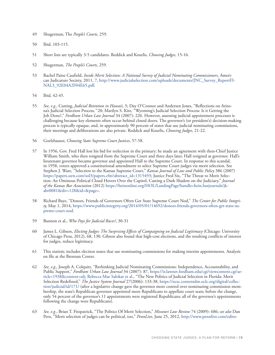- 49 Shugerman, The *People's Courts*, 259.
- 50 Ibid, 103-115.
- 51 Short lists are typically 3-5 candidates. Reddick and Kourlis, *Choosing Judges*, 15-16.
- 52 Shugerman, *The People's Courts*, 259.
- 53 Rachel Paine Caufield, *Inside Merit Selection: A National Survey of Judicial Nominating Commissioners,* American Judicature Society, 2011, 7, http://www.judicialselection.com/uploads/documents/JNC\_Survey\_ReportFI-NAL3\_92E04A2F04E65.pdf.
- 54 Ibid*,* 42-45.
- 55 *See, e.g.*, Cutting, *Judicial Retention in Hawaii*, 5; Day O'Connor and Andersen Jones, "Reflections on Arizona's Judicial Selection Process*,"* 20; Marilyn S. Kite, "Wyoming's Judicial Selection Process: Is it Getting the Job Done?," *Fordham Urban Law Journal* 34 (2007): 226. However, assessing judicial appointment processes is challenging because key elements often occur behind closed doors. The governor's (or president's) decision-making process is typically opaque, and, in approximately 90 percent of states that use judicial nominating commissions, their meetings and deliberations are also private. Reddick and Kourlis, *Choosing Judges*, 21-22.
- 56 Goelzhauser, *Choosing State Supreme Court Justices*, 57-58.
- 57 In 1956, Gov. Fred Hall lost his bid for reelection in the primary; he made an agreement with then-Chief Justice William Smith, who then resigned from the Supreme Court and three days later, Hall resigned as governor. Hall's lieutenant governor became governor and appointed Hall to the Supreme Court. In response to this scandal, in 1958, voters approved a constitutional amendment to select Supreme Court judges via merit selection. See Stephen J. Ware, "Selection to the Kansas Supreme Court," *Kansas Journal of Law and Public Policy* 386 (2007) https://papers.ssrn.com/sol3/papers.cfm?abstract\_id=1315493; Justice Fred Six, "The Threat to Merit Selection: An Ominous Political Cloud Hovers Over the Capitol, Casting a Dark Shadow on the Judiciary," *Journal of the Kansas Bar Association* (2012) https://heinonline.org/HOL/LandingPage?handle=hein.barjournals/jkabr0081&div=128&id=&page=.
- 58 Richard Baye, "Donors, Friends of Governors Often Get State Supreme Court Nod," *The Center for Public Integrity,* May 1, 2014, https://www.publicintegrity.org/2014/05/01/14692/donors-friends-governors-often-get-state-supreme-court-nod.
- 59 Bannon et al., *Who Pays for Judicial Races?*, 30-31
- 60 James L. Gibson, *Electing Judges: The Surprising Effects of Campaigning on Judicial Legitimacy* (Chicago: University of Chicago Press, 2012), 68, 130. Gibson also found that high-cost elections, and the resulting conflicts of interest for judges, reduce legitimacy.
- 61 This statistic includes election states that use nominating commissions for making interim appointments. Analysis on file at the Brennan Center.
- 62 *See, e.g*., Joseph A. Colquitt, "Rethinking Judicial Nominating Commissions: Independence, Accountability, and Public Support," *Fordham Urban Law Journal* 34 (2007): 87, https://ir.lawnet.fordham.edu/cgi/viewcontent.cgi?article=1938&context=ulj; Rebecca Mae Salokar et al., "The New Politics of Judicial Selection in Florida: Merit Selection Redefined," *The Justice System Journal* 27(2006): 133-38, https://ncsc.contentdm.oclc.org/digital/collection/judicial/id/171/ (after a legislative change gave the governor more control over nominating commission membership, the state's Republican governor appointed more Republicans to appellate court seats; before the change, only 54 percent of the governor's 11 appointments were registered Republicans; all of the governor's appointments following the change were Republicans).
- 63 *See, e.g.*, Brian T. Fitzpatrick, "The Politics Of Merit Selection," *Missouri Law Review* 74 (2009): 686; *see also* Dan Pero, "Merit selection of judges can be political, too," *PennLive*, June 25, 2012, http://www.pennlive.com/edito-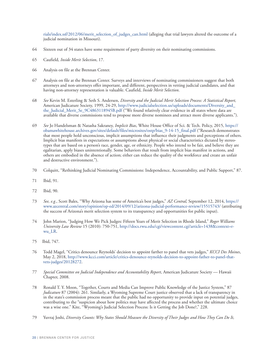rials/index.ssf/2012/06/merit\_selection\_of\_judges\_can.html (alleging that trial lawyers altered the outcome of a judicial nomination in Missouri).

- 64 Sixteen out of 34 states have some requirement of party diversity on their nominating commissions.
- 65 Caufield, *Inside Merit Selection*, 17.
- 66 Analysis on file at the Brennan Center.
- 67 Analysis on file at the Brennan Center. Surveys and interviews of nominating commissioners suggest that both attorneys and non-attorneys offer important, and different, perspectives in vetting judicial candidates, and that having non-attorney representation is valuable. Caufield, *Inside Merit Selection*.
- 68 *See* Kevin M. Esterling & Seth S. Andersen, *Diversity and the Judicial Merit Selection Process: A Statistical Report,* American Judicature Society, 1999, 24-29, http://www.judicialselection.us/uploads/documents/Diversity\_and\_ the\_Judicial\_Merit\_Se\_9C4863118945B.pdf ("We found relatively clear evidence in all states where data are available that diverse commissions tend to propose more diverse nominees and attract more diverse applicants.").
- 69 *See* Jo Handelsman & Natasha Sakraney, *Implicit Bias*, White House Office of Sci. & Tech. Policy, 2015, https:// obamawhitehouse.archives.gov/sites/default/files/microsites/ostp/bias\_9-14-15\_final.pdf ("Research demonstrates that most people hold unconscious, implicit assumptions that influence their judgments and perceptions of others. Implicit bias manifests in expectations or assumptions about physical or social characteristics dictated by stereotypes that are based on a person's race, gender, age, or ethnicity. People who intend to be fair, and believe they are egalitarian, apply biases unintentionally. Some behaviors that result from implicit bias manifest in actions, and others are embodied in the absence of action; either can reduce the quality of the workforce and create an unfair and destructive environment.").
- 70 Colquitt, "Rethinking Judicial Nominating Commissions: Independence, Accountability, and Public Support," 87.
- 71 Ibid, 91.
- 72 Ibid, 90.
- 73 *See, e.g.*, Scott Bales, "Why Arizona has some of America's best judges," *AZ Central,* September 12, 2014, https:// www.azcentral.com/story/opinion/op-ed/2014/09/12/arizona-judicial-performance-review/15515743/ (attributing the success of Arizona's merit selection system to its transparency and opportunities for public input).
- 74 John Marion, "Judging How We Pick Judges: Fifteen Years of Merit Selection in Rhode Island," *Roger Williams University Law Review* 15 (2010): 750-751, http://docs.rwu.edu/cgi/viewcontent.cgi?article=1438&context=rwu\_LR.
- 75 Ibid, 747.
- 76 Todd Magel, "Critics denounce Reynolds' decision to appoint farther to panel that vets judges," *KCCI Des Moines*, May 2, 2018, http://www.kcci.com/article/critics-denounce-reynolds-decision-to-appoint-father-to-panel-thatvets-judges/20128272.
- 77 *Special Committee on Judicial Independence and Accountability Report*, American Judicature Society Hawaii Chapter, 2008.
- 78 Ronald T. Y. Moon, "Together, Courts and Media Can Improve Public Knowledge of the Justice System," 87 *Judicature* 87 (2004): 261. Similarly, a Wyoming Supreme Court justice observed that a lack of transparency in in the state's commission process meant that the public had no opportunity to provide input on potential judges, contributing to the "suspicion about how politics may have affected the process and whether the ultimate choice was a wise one." Kite, "Wyoming's Judicial Selection Process: Is it Getting the Job Done?," 228.
- 79 Yuvraj Joshi, *Diversity Counts: Why States Should Measure the Diversity of Their Judges and How They Can Do It,*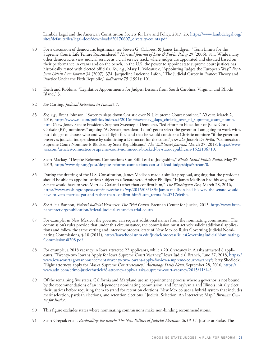Lambda Legal and the American Constitution Society for Law and Policy, 2017, 23, https://www.lambdalegal.org/ sites/default/files/legal-docs/downloads/20170607\_diversity-counts.pdf.

- 80 For a discussion of democratic legitimacy, see Steven G. Calabresi & James Lindgren, "Term Limits for the Supreme Court: Life Tenure Reconsidered," *Harvard Journal of Law & Public Policy* 29 (2006): 811. While many other democracies view judicial service as a civil service track, where judges are appointed and elevated based on their performance in exams and on the bench, in the U.S. the power to appoint state supreme court justices has historically rested with elected officials. *See, e.g.*, Mary L. Volcansek, "Appointing Judges the European Way," *Fordham Urban Law Journal* 34 (2007): 374; Jacqueline Lucienne Lafon, "The Judicial Career in France: Theory and Practice Under the Fifth Republic," *Judicature* 75 (1991): 101.
- 81 Keith and Robbins, "Legislative Appointments for Judges: Lessons from South Carolina, Virginia, and Rhode Island," 3.
- 82 *See* Cutting, *Judicial Retention in Hawaii,* 7*.*
- 83 *See, e.g*., Brent Johnson, "Sweeney slaps down Christie over N.J. Supreme Court nominee," *NJ.com,* March 2, 2016, https://www.nj.com/politics/index.ssf/2016/03/sweeney\_slaps\_christie\_over\_nj\_supreme\_court\_nomin. html (New Jersey Senate President, Stephen Sweeney, a Democrat, "led efforts to block four of [Gov. Chris Christie (R)'s] nominees," arguing "As Senate president, I don't get to select the governor I am going to work with, but I do get to choose who and what I fight for," and that he would consider a Christie nominee "if the governor preserves judicial independence by submitting a Democrat for the court."); *see also* Joseph De Avila, "Connecticut Supreme Court Nominee Is Blocked by State Republicans," *The Wall Street Journal,* March 27, 2018, https://www. wsj.com/articles/connecticut-supreme-court-nominee-is-blocked-by-state-republicans-1522186710.
- 84 Scott Mackay, "Despite Reforms, Connections Can Still Lead to Judgeships," *Rhode Island Public Radio,* May 27, 2013, http://www.ripr.org/post/despite-reforms-connections-can-still-lead-judgeships#stream/0.
- 85 During the drafting of the U.S. Constitution, James Madison made a similar proposal, arguing that the president should be able to appoint justices subject to a Senate veto. Amber Phillips, "If James Madison had his way, the Senate would have to veto Merrick Garland rather than confirm him," *The Washington Post,* March 28, 2016, https://www.washingtonpost.com/news/the-fix/wp/2016/03/18/if-james-madison-had-his-way-the-senate-wouldhave-to-veto-merrick-garland-rather-than-confirm-him/?utm\_term=.5a2f717eb4bb.
- 86 *See* Alicia Bannon, *Federal Judicial Vacancies: The Trial Courts,* Brennan Center for Justice, 2013, http://www.brennancenter.org/publication/federal-judicial-vacancies-trial-courts.
- 87 For example, in New Mexico, the governor can request additional names from the nominating commission. The commission's rules provide that under this circumstance, the commission must actively solicit additional applications and follow the same vetting and interview process. State of New Mexico Rules Governing Judicial Nominating Commissions, § 10 (2011), http://lawschool.unm.edu/judsel/process/RulesGoverningJudicialNominating-Commissions0208.pdf.
- 88 For example, a 2018 vacancy in Iowa attracted 22 applicants, while a 2016 vacancy in Alaska attracted 8 applicants. "Twenty-two Iowans Apply for Iowa Supreme Court Vacancy," Iowa Judicial Branch, June 27, 2018, https:// www.iowacourts.gov/announcements/twenty-two-iowans-apply-for-iowa-supreme-court-vacancy/; Jerzy Shedlock, "Eight attorneys apply for Alaska Supreme Court vacancy," *Anchorage Daily News,* September 28, 2016, https:// www.adn.com/crime-justice/article/8-attorney-apply-alaska-supreme-court-vacancy/2015/11/14/.
- 89 Of the remaining five states, California and Maryland use an appointment process where a governor is not bound by the recommendations of an independent nominating commission, and Pennsylvania and Illinois initially elect their justices before requiring them to stand for retention elections. New Mexico uses a hybrid system that includes merit selection, partisan elections, and retention elections. "Judicial Selection: An Interactive Map," *Brennan Center for Justice*.
- 90 This figure excludes states where nominating commissions make non-binding recommendations.
- 91 Scott Greytak et al., *Bankrolling the Bench: The New Politics of Judicial Elections, 2013-14,* Justice at Stake, The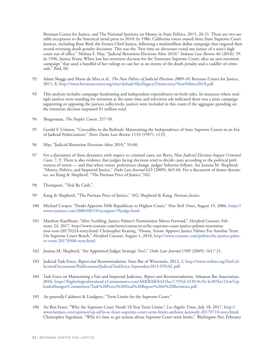Brennan Center for Justice, and The National Institute on Money in State Politics, 2015, 20-21. There are two notable exceptions to the historical trend prior to 2010: In 1986, California voters ousted three State Supreme Court Justices, including Rose Bird, the former Chief Justice, following a multimillion dollar campaign that targeted their record reversing death penalty decisions. This was the "first time an electorate voted any justice of a state's high court out of office." Melissa S. May, "Judicial Retention Elections After 2010," *Indiana Law Review* 46 (2010): 59. In 1996, Justice Penny White lost her retention election for the Tennessee Supreme Court, after an anti-retention campaign "that used a handful of her rulings to cast her as an enemy of the death penalty and a coddler of criminals." Ibid, 60.

- 92 Adam Skaggs and Maria da Silva et al., *The New Politics of Judicial Elections 2009-10*, Brennan Center for Justice, 2011, 8, http://www.brennancenter.org/sites/default/files/legacy/Democracy/NewPolitics2010.pdf.
- 93 This analysis includes campaign fundraising and independent expenditures on both sides. In instances where multiple justices were standing for retention at the same time and television ads indicated there was a joint campaign supporting or opposing the justices collectively, justices were included in this count if the aggregate spending on the retention election surpassed \$1 million total.
- 94 Shugerman, *The People's Courts*, 257-58.
- 95 Gerald F. Uelmen, "Crocodiles in the Bathtub: Maintaining the Independence of State Supreme Courts in an Era of Judicial Politicization," *Notre Dame Law Review* 1133 (1997): 1133.
- 96 May, "Judicial Retention Elections After 2010," 59-60.
- 97 For a discussion of these dynamics with respect to criminal cases, see Berry, *How Judicial Elections Impact Criminal Cases,* 7, 9. There is also evidence that judges facing elections tend to decide cases according to the political preferences of voters — and that when voters' preferences change, judges' behavior follows. See Joanna M. Shepherd, "Money, Politics, and Impartial Justice," *Duke Law Journal* 623 (2009): 665-66. For a discussion of donor dynamics, see Kang & Shepherd, "The Partisan Price of Justice,"102.
- 98 Thompson, "Trial By Cash.".
- 99 Kang & Shepherd, "The Partisan Price of Justice," 102; Shepherd & Kang, *Partisan Justice*.
- 100 Michael Cooper, "Pataki Appoints Fifth Republican to Highest Court," *New York Times*, August 19, 2006, https:// www.nytimes.com/2006/08/19/nyregion/19judge.html.
- 101 Matthew Kauffman, "After Scolding, Justice Palmer's Nomination Moves Forward," *Hartford Courant*, February 24, 2017, http://www.courant.com/news/connecticut/hc-supreme-court-justice-palmer-renomination-vote-20170224-story.html; Christopher Keating, "House, Senate Approve Justice Palmer For Another Term On Supreme Court Bench," *Hartford Courant*, August 1, 2018, http://www.courant.com/politics/hc-justice-palmer-votes-20170308-story.html.
- 102 Joanna M. Shepherd, "Are Appointed Judges Strategic Too?," *Duke Law Journal* 1589 (2009): 1617-21.
- 103 Judicial Task Force, *Report and Recommendation,* State Bar of Wisconsin, 2013, 2, http://www.wisbar.org/SiteCollectionDocuments/Publications/JudicialTaskForce-September2013-FINAL.pdf.
- 104 Task Force on Maintaining a Fair and Impartial Judiciary, *Report and Recommendations,* Arkansas Bar Association, 2016, https://higherlogicdownload.s3.amazonaws.com/ARKBAR/b431bcc7-935d-4530-8c1b-4e305fa123c6/UploadedImages/Committees/Task%20Force%20Final%20Report%20w%20Revisions.pdf.
- 105 *See generally* Calabresi & Lindgren, "Term Limits for the Supreme Court."
- 106 *See* Ben Feuer, "Why the Supreme Court Needs 18-Year Term Limits," *Los Angeles Times*, July 18, 2017, http:// www.latimes.com/opinion/op-ed/la-oe-feuer-supreme-court-term-limits-anthony-kennedy-20170718-story.html; Christopher Ingraham, "Why it's time to get serious about Supreme Court term limits," *Washington Post*, February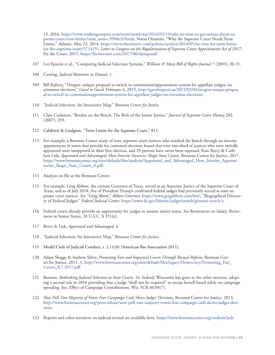13, 2016, https://www.washingtonpost.com/news/wonk/wp/2016/02/13/why-its-time-to-get-serious-about-supreme-court-term-limits/?utm\_term=.9908e2e9eede; Norm Ornstein, "Why the Supreme Court Needs Term Limits," *Atlantic*, May 22, 2014, https://www.theatlantic.com/politics/archive/2014/05/its-time-for-term-limitsfor-the-supreme-court/371415/; *Letter to Congress on the Regularization of Supreme Court Appointments Act of 2017*, Fix the Court, 2017, https://fixthecourt.com/2017/06/tlproposal/.

- 107 Lee Epstein et al., "Comparing Judicial Selection Systems," *William & Mary Bill of Rights Journal* 7 (2001): 30-31.
- 108 Cutting, *Judicial Retention in Hawaii,* 1*.*
- 109 Bill Raftery, "Oregon: unique proposal to switch to commission/appointment system for appellate judges; no retention elections," *Gavel to Gavel,* February 4, 2015, http://gaveltogavel.us/2015/02/04/oregon-unique-proposal-to-switch-to-commissionappointment-system-for-appellate-judges-no-retention-elections/.
- 110 "Judicial Selection: An Interactive Map," *Brennan Center for Justice.*
- 111 Clare Cushman, "Rookie on the Bench: The Role of the Junior Justice," *Journal of Supreme Court History* 282, (2007): 293.
- 112 Calabresi & Lindgren, "Term Limits for the Supreme Court," 811.
- 113 For example, a Brennan Center study of state supreme court justices who reached the bench through an interim appointment in states that provide for contested elections found that over one-third of justices who were initially appointed were unopposed in their first election, and 29 percent have never been opposed. Kate Berry & Cathleen Lisk, *Appointed and Advantaged: How Interim Vacancies Shape State Courts*, Brennan Center for Justice, 2017, https://www.brennancenter.org/sites/default/files/analysis/Appointed\_and\_Advantaged\_How\_Interim\_Appointments\_Shape\_State\_Courts\_0.pdf.
- 114 Analysis on file at the Brennan Center.
- 115 For example, Greg Abbott, the current Governor of Texas, served as an Associate Justice of the Supreme Court of Texas, and as of July 2018, five of President Trump's confirmed federal judges had previously served as state supreme court justices. See "Greg Abott," *Abbott Governor,* https://www.gregabbott.com/bio/; "Biographical Directory of Federal Judges," *Federal Judicial Center,* https://www.fjc.gov/history/judges/search/glossary-search/y.
- 116 Federal courts already provide an opportunity for judges to assume senior status. See Retirement on Salary; Retirement in Senior Status, 28 U.S.C. § 371(c).
- 117 Berry & Lisk, *Appointed and Advantaged*, 4.
- 118 "Judicial Selection: An Interactive Map," *Brennan Center for Justice*..
- 119 Model Code of Judicial Conduct, r. 2.11(A) (American Bar Association 2011).
- 120 Adam Skaggs & Andrew Silver, *Promoting Fair and Impartial Courts Through Recusal Reform*, Brennan Center for Justice, 2011, 1, http://www.brennancenter.org/sites/default/files/legacy/Democracy/Promoting\_Fair\_ Courts\_8.7.2011.pdf.
- 121 Bannon, *Rethinking Judicial Selection in State Courts*, 16. Indeed, Wisconsin has gone to the other extreme, adopting a recusal rule in 2010 providing that a judge "shall not be required" to recuse herself based solely on campaign spending. See, Effect of Campaign Contributions, Wis. SCR 60.04(7).
- 122 *New Poll: Vast Majority of Voters Fear Campaign Cash Skews Judges' Decisions*, Brennan Center for Justice, 2013, http://www.brennancenter.org/press-release/new-poll-vast-majority-voters-fear-campaign-cash-skews-judges-decisions.
- 123 Reports and other resources on judicial recusal are available here: https://www.brennancenter.org/analysis/judi-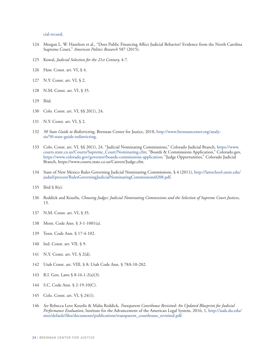cial-recusal.

- Morgan L. W. Hazelton et al., "Does Public Financing Affect Judicial Behavior? Evidence from the North Carolina Supreme Court," *American Politics Research* 587 (2015).
- Kowal, *Judicial Selection for the 21st Century,* 4-7.
- Haw. Const. art. VI, § 4.
- N.Y. Const. art. VI, § 2.
- N.M. Const. art. VI, § 35.
- Ibid.
- Colo. Const. art. VI, §§ 20(1), 24.
- N.Y. Const. art. VI, § 2.
- *50 State Guide to Redistricting*, Brennan Center for Justice, 2018, http://www.brennancenter.org/analysis/50-state-guide-redistricting.
- Colo. Const. art. VI, §§ 20(1), 24. "Judicial Nominating Commissions," Colorado Judicial Branch, https://www. courts.state.co.us/Courts/Supreme\_Court/Nominating.cfm; "Boards & Commissions Application," Colorado.gov, https://www.colorado.gov/governor/boards-commissions-application; "Judge Opportunities," Colorado Judicial Branch, https://www.courts.state.co.us/Careers/Judge.cfm.
- State of New Mexico Rules Governing Judicial Nominating Commissions, § 4 (2011), http://lawschool.unm.edu/ judsel/process/RulesGoverningJudicialNominatingCommissions0208.pdf.
- Ibid § 8(e).
- Reddick and Kourlis, *Choosing Judges: Judicial Nominating Commissions and the Selection of Supreme Court Justices*, 13.
- N.M. Const. art. VI, § 35.
- Mont. Code Ann. § 3-1-1001(a).
- Tenn. Code Ann. § 17-4-102.
- Ind. Const. art. VII, § 9.
- N.Y. Const. art. VI, § 2(d).
- Utah Const. art. VIII, § 8; Utah Code Ann. § 78A-10-202.
- R.I. Gen. Laws § 8-16.1-2(a)(3).
- S.C. Code Ann. § 2-19-10(C).
- Colo. Const. art. VI, § 24(1).
- *See* Rebecca Love Kourlis & Malia Reddick, *Transparent Courthouse Revisited: An Updated Blueprint for Judicial Performance Evaluation*, Institute for the Advancement of the American Legal System, 2016, 1, http://iaals.du.edu/ sites/default/files/documents/publications/transparent\_courthouse\_revisited.pdf.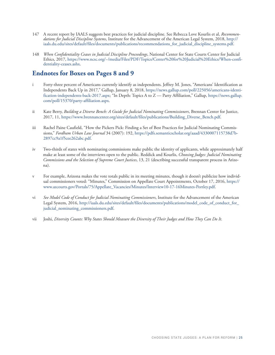- 147 A recent report by IAALS suggests best practices for judicial discipline. See Rebecca Love Kourlis et al, *Recommendations for Judicial Discipline Systems*, Institute for the Advancement of the American Legal System, 2018, http:// iaals.du.edu/sites/default/files/documents/publications/recommendations\_for\_judicial\_discipline\_systems.pdf.
- 148 *When Confidentiality Ceases in Judicial Discipline Proceedings*, National Center for State Courts Center for Judicial Ethics, 2017, https://www.ncsc.org/~/media/Files/PDF/Topics/Center%20for%20Judicial%20Ethics/When-confidentiality-ceases.ashx.

## **Endnotes for Boxes on Pages 8 and 9**

- i Forty-three percent of Americans currently identify as independents. Jeffrey M. Jones, "Americans' Identification as Independents Back Up in 2017," Gallup, January 8, 2018, https://news.gallup.com/poll/225056/americans-identification-independents-back-2017.aspx; "In Depth: Topics A to Z — Party Affiliation," Gallup, https://news.gallup. com/poll/15370/party-affiliation.aspx.
- ii Kate Berry, *Building a Diverse Bench: A Guide for Judicial Nominating Commissioners*, Brennan Center for Justice, 2017, 11, https://www.brennancenter.org/sites/default/files/publications/Building\_Diverse\_Bench.pdf.
- iii Rachel Paine Caufield, "How the Pickers Pick: Finding a Set of Best Practices for Judicial Nominating Commissions," *Fordham Urban Law Journal* 34 (2007): 192, https://pdfs.semanticscholar.org/aaad/4330007115738d7b-2897cc9a1f5cee262abc.pdf.
- iv Two-thirds of states with nominating commissions make public the identity of applicants, while approximately half make at least some of the interviews open to the public. Reddick and Kourlis, *Choosing Judges: Judicial Nominating Commissions and the Selection of Supreme Court Justices*, 13, 21 (describing successful transparent process in Arizona).
- v For example, Arizona makes the vote totals public in its meeting minutes, though it doesn't publicize how individual commissioners voted: "Minutes," Commission on Appellate Court Appointments, October 17, 2016, https:// www.azcourts.gov/Portals/75/Appellate\_Vacancies/Minutes/Interview10-17-16Minutes-Portley.pdf.
- vi *See Model Code of Conduct for Judicial Nominating Commissioners*, Institute for the Advancement of the American Legal System, 2016, http://iaals.du.edu/sites/default/files/documents/publications/model\_code\_of\_conduct\_for\_ judicial\_nominating\_commissioners.pdf.
- vii Joshi, *Diversity Counts: Why States Should Measure the Diversity of Their Judges and How They Can Do It*.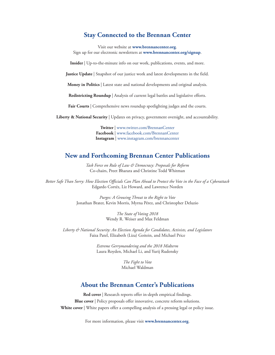## **Stay Connected to the Brennan Center**

Visit our website at **www.brennancenter.org**. Sign up for our electronic newsletters at **www.brennancenter.org/signup**.

**Insider** | Up-to-the-minute info on our work, publications, events, and more.

**Justice Update** | Snapshot of our justice work and latest developments in the field.

**Money in Politics** | Latest state and national developments and original analysis.

**Redistricting Roundup** | Analysis of current legal battles and legislative efforts.

Fair Courts | Comprehensive news roundup spotlighting judges and the courts.

**Liberty & National Security** | Updates on privacy, government oversight, and accountability.

**Twitter** | www.twitter.com/BrennanCenter **Facebook** | www.facebook.com/BrennanCenter **Instagram** | www.instagram.com/brennancenter

## **New and Forthcoming Brennan Center Publications**

*Task Force on Rule of Law & Democracy: Proposals for Reform* Co-chairs, Preet Bharara and Christine Todd Whitman

*Better Safe Than Sorry: How Election Officials Can Plan Ahead to Protect the Vote in the Face of a Cyberattack* Edgardo Cortéz, Liz Howard, and Lawrence Norden

> *Purges: A Growing Threat to the Right to Vote* Jonathan Brater, Kevin Morris, Myrna Pérez, and Christopher Deluzio

> > *The State of Voting 2018* Wendy R. Weiser and Max Feldman

*Liberty & National Security: An Election Agenda for Candidates, Activists, and Legislators*  Faiza Patel, Elizabeth (Liza) Goitein, and Michael Price

> *Extreme Gerrymandering and the 2018 Midterm* Laura Royden, Michael Li, and Yurij Rudensky

> > *The Fight to Vote* Michael Waldman

### **About the Brennan Center's Publications**

**Red cover** | Research reports offer in-depth empirical findings. **Blue cover** | Policy proposals offer innovative, concrete reform solutions. White cover | White papers offer a compelling analysis of a pressing legal or policy issue.

For more information, please visit **www.brennancenter.org**.